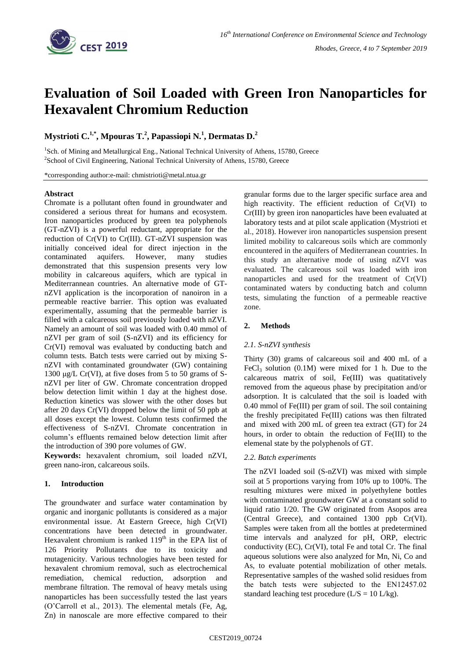

# **Evaluation of Soil Loaded with Green Iron Nanoparticles for Hexavalent Chromium Reduction**

**Mystrioti C.1,\* , Mpouras T. 2 , Papassiopi N.<sup>1</sup> , Dermatas D.<sup>2</sup>**

<sup>1</sup>Sch. of Mining and Metallurgical Eng., National Technical University of Athens, 15780, Greece <sup>2</sup>School of Civil Engineering, National Technical University of Athens, 15780, Greece

\*corresponding author:e-mail: chmistrioti@metal.ntua.gr

## **Abstract**

Chromate is a pollutant often found in groundwater and considered a serious threat for humans and ecosystem. Iron nanoparticles produced by green tea polyphenols (GT-nZVI) is a powerful reductant, appropriate for the reduction of Cr(VI) to Cr(III). GT-nZVI suspension was initially conceived ideal for direct injection in the contaminated aquifers. However, many studies demonstrated that this suspension presents very low mobility in calcareous aquifers, which are typical in Mediterrannean countries. An alternative mode of GTnZVI application is the incorporation of nanoiron in a permeable reactive barrier. This option was evaluated experimentally, assuming that the permeable barrier is filled with a calcareous soil previously loaded with nZVI. Namely an amount of soil was loaded with 0.40 mmol of nZVI per gram of soil (S-nZVI) and its efficiency for Cr(VI) removal was evaluated by conducting batch and column tests. Batch tests were carried out by mixing SnZVI with contaminated groundwater (GW) containing 1300 μg/L Cr(VI), at five doses from 5 to 50 grams of SnZVI per liter of GW. Chromate concentration dropped below detection limit within 1 day at the highest dose. Reduction kinetics was slower with the other doses but after 20 days Cr(VI) dropped below the limit of 50 ppb at all doses except the lowest. Column tests confirmed the effectiveness of S-nZVI. Chromate concentration in column's effluents remained below detection limit after the introduction of 390 pore volumes of GW.

**Keywords:** hexavalent chromium, soil loaded nZVI, green nano-iron, calcareous soils.

## **1. Introduction**

The groundwater and surface water contamination by organic and inorganic pollutants is considered as a major environmental issue. At Eastern Greece, high Cr(VI) concentrations have been detected in groundwater. Hexavalent chromium is ranked 119<sup>th</sup> in the EPA list of 126 Priority Pollutants due to its toxicity and mutagenicity. Various technologies have been tested for hexavalent chromium removal, such as electrochemical remediation, chemical reduction, adsorption and membrane filtration. The removal of heavy metals using nanoparticles has been successfully tested the last years (O'Carroll et al., 2013). The elemental metals (Fe, Ag, Zn) in nanoscale are more effective compared to their granular forms due to the larger specific surface area and high reactivity. The efficient reduction of Cr(VI) to Cr(III) by green iron nanoparticles have been evaluated at laboratory tests and at pilot scale application (Mystrioti et al., 2018). However iron nanoparticles suspension present limited mobility to calcareous soils which are commonly encountered in the aquifers of Mediterranean countries. In this study an alternative mode of using nZVI was evaluated. The calcareous soil was loaded with iron nanoparticles and used for the treatment of Cr(VI) contaminated waters by conducting batch and column tests, simulating the function of a permeable reactive zone.

## **2. Methods**

#### *2.1. S-nZVI synthesis*

Thirty (30) grams of calcareous soil and 400 mL of a FeCl<sub>3</sub> solution  $(0.1M)$  were mixed for 1 h. Due to the calcareous matrix of soil, Fe(III) was quatitatively removed from the aqueous phase by precipitation and/or adsorption. It is calculated that the soil is loaded with 0.40 mmol of Fe(III) per gram of soil. The soil containing the freshly precipitated Fe(III) cations was then filtrated and mixed with 200 mL of green tea extract (GT) for 24 hours, in order to obtain the reduction of Fe(III) to the elemenal state by the polyphenols of GT.

#### *2.2. Batch experiments*

The nZVI loaded soil (S-nZVI) was mixed with simple soil at 5 proportions varying from 10% up to 100%. The resulting mixtures were mixed in polyethylene bottles with contaminated groundwater GW at a constant solid to liquid ratio 1/20. The GW originated from Asopos area (Central Greece), and contained 1300 ppb Cr(VI). Samples were taken from all the bottles at predetermined time intervals and analyzed for pH, ORP, electric conductivity (EC), Cr(VI), total Fe and total Cr. The final aqueous solutions were also analyzed for Mn, Ni, Co and As, to evaluate potential mobilization of other metals. Representative samples of the washed solid residues from the batch tests were subjected to the ΕΝ12457.02 standard leaching test procedure ( $L/S = 10 L/kg$ ).